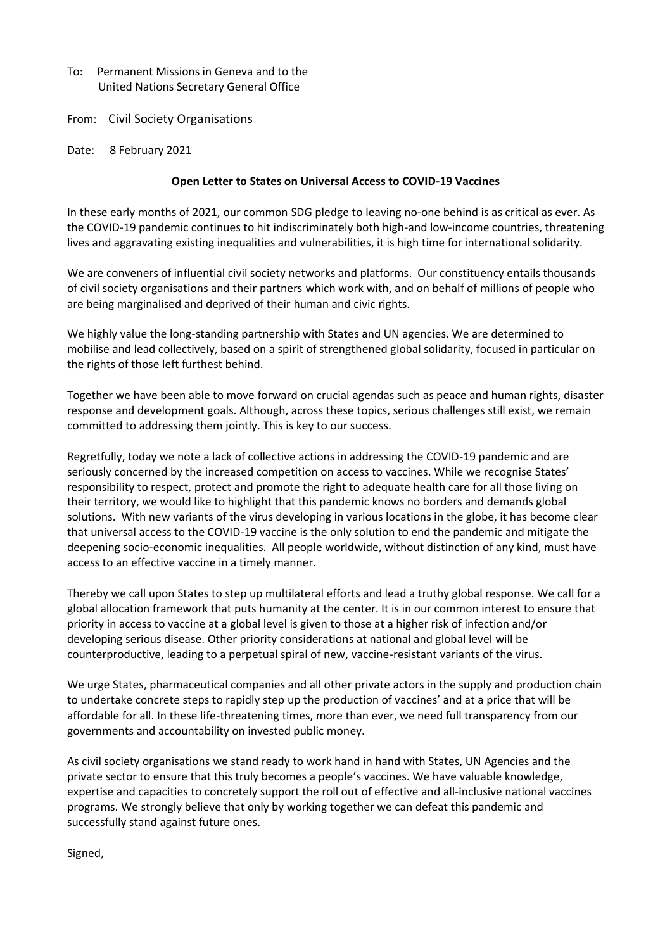- To: Permanent Missions in Geneva and to the United Nations Secretary General Office
- From: Civil Society Organisations
- Date: 8 February 2021

## **Open Letter to States on Universal Access to COVID-19 Vaccines**

In these early months of 2021, our common SDG pledge to leaving no-one behind is as critical as ever. As the COVID-19 pandemic continues to hit indiscriminately both high-and low-income countries, threatening lives and aggravating existing inequalities and vulnerabilities, it is high time for international solidarity.

We are conveners of influential civil society networks and platforms. Our constituency entails thousands of civil society organisations and their partners which work with, and on behalf of millions of people who are being marginalised and deprived of their human and civic rights.

We highly value the long-standing partnership with States and UN agencies. We are determined to mobilise and lead collectively, based on a spirit of strengthened global solidarity, focused in particular on the rights of those left furthest behind.

Together we have been able to move forward on crucial agendas such as peace and human rights, disaster response and development goals. Although, across these topics, serious challenges still exist, we remain committed to addressing them jointly. This is key to our success.

Regretfully, today we note a lack of collective actions in addressing the COVID-19 pandemic and are seriously concerned by the increased competition on access to vaccines. While we recognise States' responsibility to respect, protect and promote the right to adequate health care for all those living on their territory, we would like to highlight that this pandemic knows no borders and demands global solutions. With new variants of the virus developing in various locations in the globe, it has become clear that universal access to the COVID-19 vaccine is the only solution to end the pandemic and mitigate the deepening socio-economic inequalities. All people worldwide, without distinction of any kind, must have access to an effective vaccine in a timely manner.

Thereby we call upon States to step up multilateral efforts and lead a truthy global response. We call for a global allocation framework that puts humanity at the center. It is in our common interest to ensure that priority in access to vaccine at a global level is given to those at a higher risk of infection and/or developing serious disease. Other priority considerations at national and global level will be counterproductive, leading to a perpetual spiral of new, vaccine-resistant variants of the virus.

We urge States, pharmaceutical companies and all other private actors in the supply and production chain to undertake concrete steps to rapidly step up the production of vaccines' and at a price that will be affordable for all. In these life-threatening times, more than ever, we need full transparency from our governments and accountability on invested public money.

As civil society organisations we stand ready to work hand in hand with States, UN Agencies and the private sector to ensure that this truly becomes a people's vaccines. We have valuable knowledge, expertise and capacities to concretely support the roll out of effective and all-inclusive national vaccines programs. We strongly believe that only by working together we can defeat this pandemic and successfully stand against future ones.

Signed,